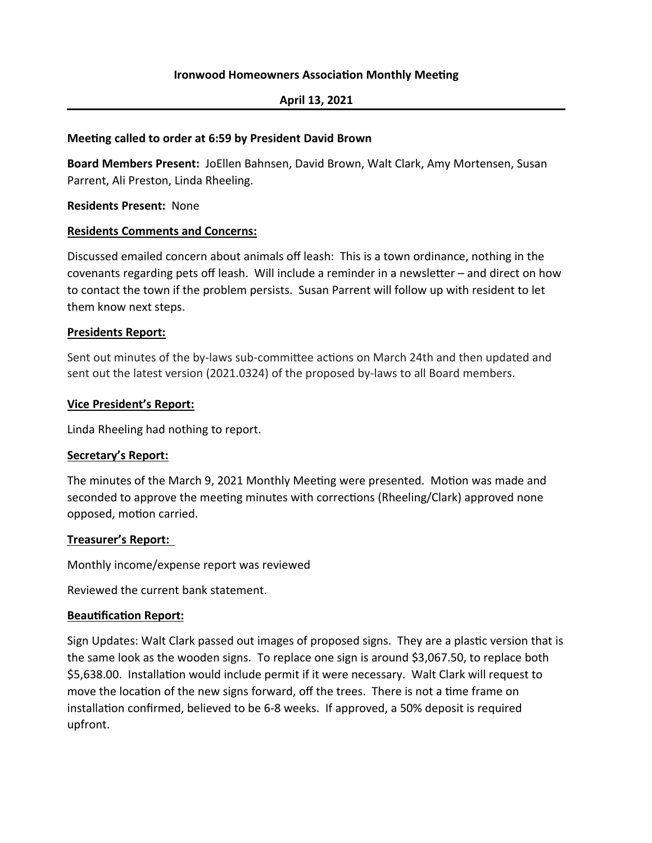## **Meeting called to order at 6:59 by President David Brown**

Board Members Present: JoEllen Bahnsen, David Brown, Walt Clark, Amy Mortensen, Susan Parrent, Ali Preston, Linda Rheeling.

#### **Residents Present: None**

#### **Residents Comments and Concerns:**

Discussed emailed concern about animals off leash: This is a town ordinance, nothing in the covenants regarding pets off leash. Will include a reminder in a newsletter – and direct on how to contact the town if the problem persists. Susan Parrent will follow up with resident to let them know next steps.

#### **Presidents Report:**

Sent out minutes of the by-laws sub-committee actions on March 24th and then updated and sent out the latest version (2021.0324) of the proposed by-laws to all Board members.

#### **Vice President's Report:**

Linda Rheeling had nothing to report.

## **Secretary's Report:**

The minutes of the March 9, 2021 Monthly Meeting were presented. Motion was made and seconded to approve the meeting minutes with corrections (Rheeling/Clark) approved none opposed, motion carried.

#### **Treasurer's Report:**

Monthly income/expense report was reviewed

Reviewed the current bank statement.

## **Beautification Report:**

Sign Updates: Walt Clark passed out images of proposed signs. They are a plastic version that is the same look as the wooden signs. To replace one sign is around \$3,067.50, to replace both \$5,638.00. Installation would include permit if it were necessary. Walt Clark will request to move the location of the new signs forward, off the trees. There is not a time frame on installation confirmed, believed to be 6-8 weeks. If approved, a 50% deposit is required upfront.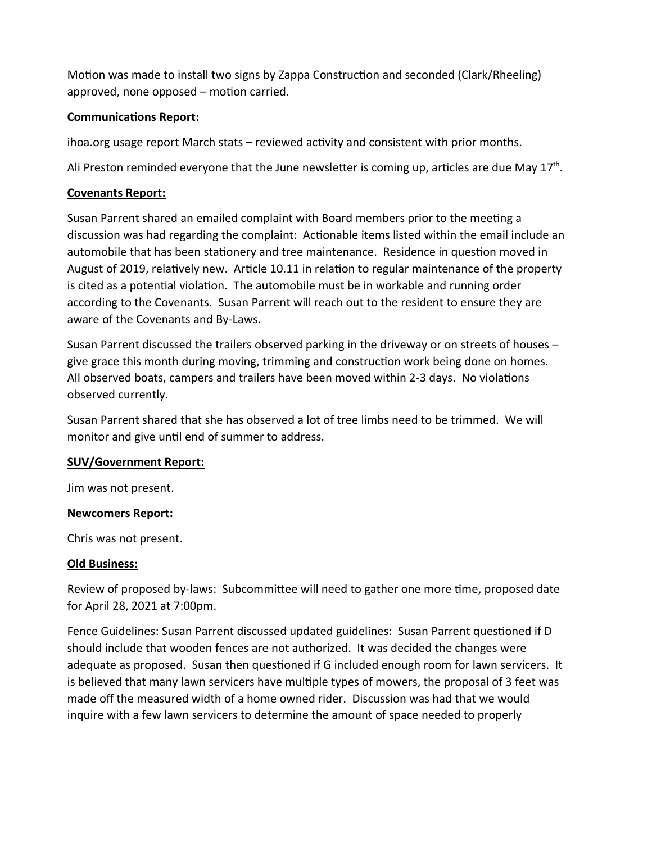Motion was made to install two signs by Zappa Construction and seconded (Clark/Rheeling) approved, none opposed – motion carried.

# **Communications Report:**

ihoa.org usage report March stats - reviewed activity and consistent with prior months.

Ali Preston reminded everyone that the June newsletter is coming up, articles are due May 17<sup>th</sup>.

## **Covenants Report:**

Susan Parrent shared an emailed complaint with Board members prior to the meeting a discussion was had regarding the complaint: Actionable items listed within the email include an automobile that has been stationery and tree maintenance. Residence in question moved in August of 2019, relatively new. Article 10.11 in relation to regular maintenance of the property is cited as a potential violation. The automobile must be in workable and running order according to the Covenants. Susan Parrent will reach out to the resident to ensure they are aware of the Covenants and By-Laws.

Susan Parrent discussed the trailers observed parking in the driveway or on streets of houses – give grace this month during moving, trimming and construction work being done on homes. All observed boats, campers and trailers have been moved within 2-3 days. No violations observed currently.

Susan Parrent shared that she has observed a lot of tree limbs need to be trimmed. We will monitor and give until end of summer to address.

## **SUV/Government Report:**

Jim was not present.

## **Newcomers Report:**

Chris was not present.

## **Old Business:**

Review of proposed by-laws: Subcommittee will need to gather one more time, proposed date for April 28, 2021 at 7:00pm.

Fence Guidelines: Susan Parrent discussed updated guidelines: Susan Parrent questioned if D should include that wooden fences are not authorized. It was decided the changes were adequate as proposed. Susan then questioned if G included enough room for lawn servicers. It is believed that many lawn servicers have multiple types of mowers, the proposal of 3 feet was made off the measured width of a home owned rider. Discussion was had that we would inquire with a few lawn servicers to determine the amount of space needed to properly